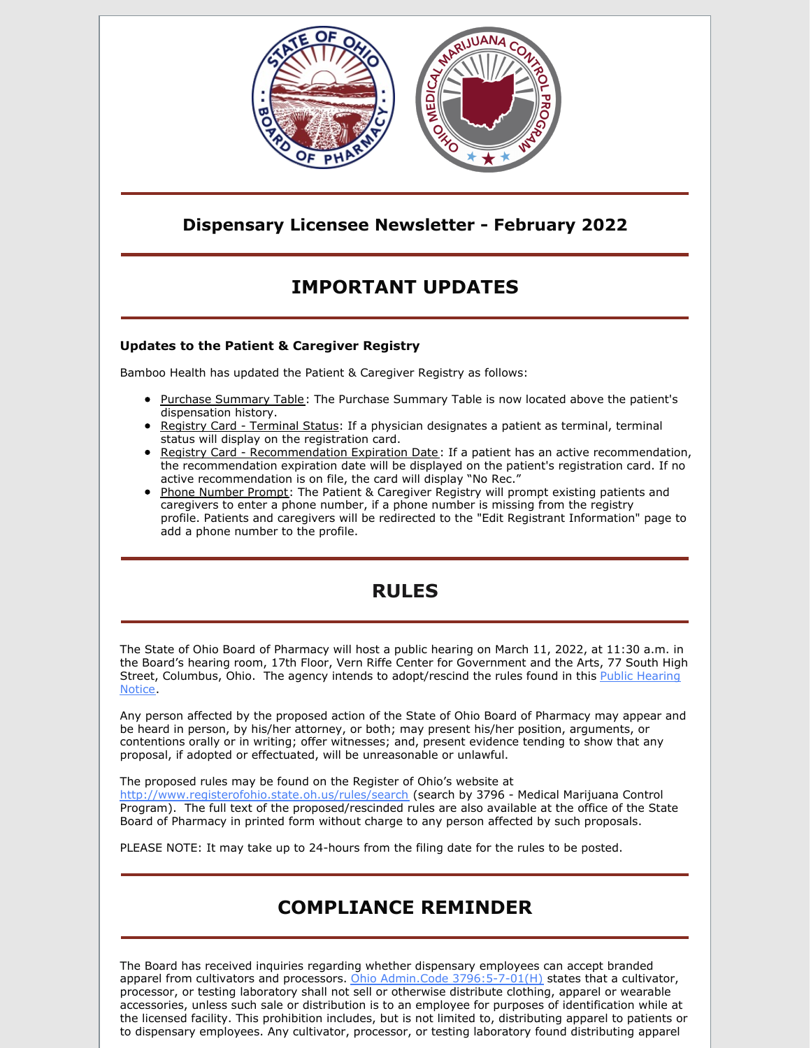

### **Dispensary Licensee Newsletter - February 2022**

# **IMPORTANT UPDATES**

#### **Updates to the Patient & Caregiver Registry**

Bamboo Health has updated the Patient & Caregiver Registry as follows:

- Purchase Summary Table: The Purchase Summary Table is now located above the patient's dispensation history.
- Registry Card Terminal Status: If a physician designates a patient as terminal, terminal status will display on the registration card.
- **Registry Card Recommendation Expiration Date:** If a patient has an active recommendation, the recommendation expiration date will be displayed on the patient's registration card. If no active recommendation is on file, the card will display "No Rec."
- Phone Number Prompt: The Patient & Caregiver Registry will prompt existing patients and caregivers to enter a phone number, if a phone number is missing from the registry profile. Patients and caregivers will be redirected to the "Edit Registrant Information" page to add a phone number to the profile.

## **RULES**

The State of Ohio Board of Pharmacy will host a public hearing on March 11, 2022, at 11:30 a.m. in the Board's hearing room, 17th Floor, Vern Riffe Center for Government and the Arts, 77 South High Street, Columbus, Ohio. The agency intends to [adopt/rescind](https://files.constantcontact.com/3ce178eb701/bb6a3321-b770-43c0-84e3-70787909aada.pdf?rdr=true) the rules found in this Public Hearing Notice.

Any person affected by the proposed action of the State of Ohio Board of Pharmacy may appear and be heard in person, by his/her attorney, or both; may present his/her position, arguments, or contentions orally or in writing; offer witnesses; and, present evidence tending to show that any proposal, if adopted or effectuated, will be unreasonable or unlawful.

The proposed rules may be found on the Register of Ohio's website at <http://www.registerofohio.state.oh.us/rules/search> (search by 3796 - Medical Marijuana Control Program). The full text of the proposed/rescinded rules are also available at the office of the State Board of Pharmacy in printed form without charge to any person affected by such proposals.

PLEASE NOTE: It may take up to 24-hours from the filing date for the rules to be posted.

## **COMPLIANCE REMINDER**

The Board has received inquiries regarding whether dispensary employees can accept branded apparel from cultivators and processors. Ohio Admin.Code [3796:5-7-01\(H\)](https://gcc02.safelinks.protection.outlook.com/?url=http%3A%2F%2Fcodes.ohio.gov%2Foac%2F3796%3A5-7-01%23%3A~%3Atext%3DAn%2520advertisement%2520with%2520a%2520high%2Cage%2520of%2520eighteen%2520is%2520prohibited.&data=04%7C01%7Cashley.hood%40pharmacy.ohio.gov%7C4686b8e2caba4bf6238b08d9f0c55972%7C50f8fcc494d84f0784eb36ed57c7c8a2%7C0%7C0%7C637805552658263199%7CUnknown%7CTWFpbGZsb3d8eyJWIjoiMC4wLjAwMDAiLCJQIjoiV2luMzIiLCJBTiI6Ik1haWwiLCJXVCI6Mn0%3D%7C3000&sdata=6d6LkirXAvng2A8OkWtjfDaX7HexeWrOChrEEUgFCYc%3D&reserved=0) states that a cultivator, processor, or testing laboratory shall not sell or otherwise distribute clothing, apparel or wearable accessories, unless such sale or distribution is to an employee for purposes of identification while at the licensed facility. This prohibition includes, but is not limited to, distributing apparel to patients or to dispensary employees. Any cultivator, processor, or testing laboratory found distributing apparel